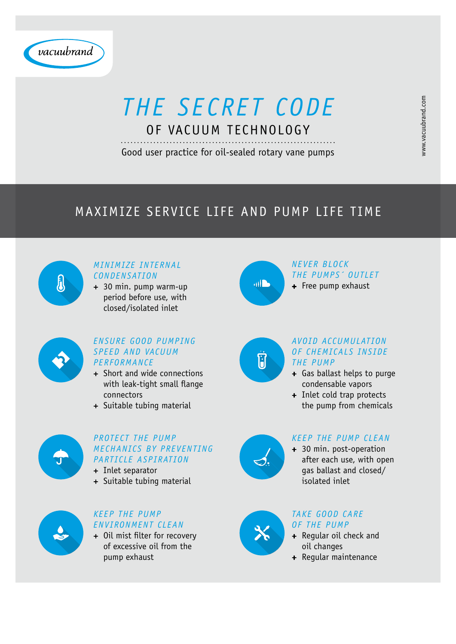#### *Minimize internal condensation*

 30 min. pump warm-up period before use, with closed/isolated inlet



#### *Ensure good pumping speed and vacuum performance*

- + Short and wide connections with leak-tight small flange connectors
- + Suitable tubing material



+ Oil mist filter for recovery of excessive oil from the pump exhaust



#### *Protect the pump mechanics by preventing particle aspiration*

- + Inlet separator
- + Suitable tubing material



- + Gas ballast helps to purge condensable vapors
- + Inlet cold trap protects the pump from chemicals

#### *Keep the pump environment clean*

- Regular oil check and oil changes
- + Regular maintenance

### *Never block the pumps´ outlet*

+ Free pump exhaust





#### *Avoid accumulation of chemicals inside the pump*



 30 min. post-operation after each use, with open gas ballast and closed/ isolated inlet

#### *Take good care of the pump*



# *The secret code* of vacuum technology

Good user practice for oil-sealed rotary vane pumps

### Maximize service life and pump life time